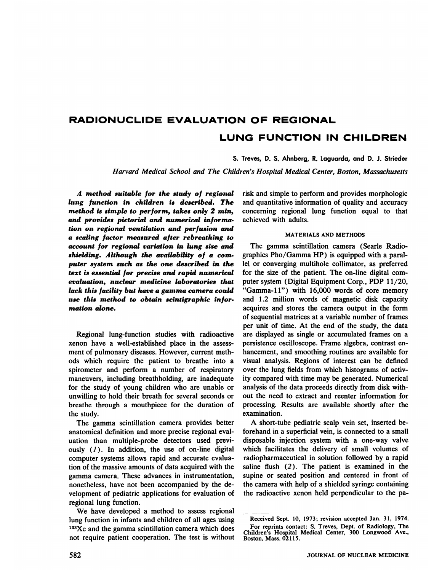# **RADIONUCLIDE EVALUATION OF REGIONAL LUNG FUNCTION IN CHILDREN**

S. Treves, D. S. Ahnberg, R. Laguarda, and D. J. Strieder

*Harvard Medical School and The Children's Hospital Medical Center, Boston, Massachusetts*

**A methodsuitablefor the studyof regional** *lung function in children is described. The method is simple to perform, takes only 2 mm, and* provides pictorial and numerical informa*tion on regional ventilation and perfusion and a scaling factor measured after rebreathing to account for regional variation in lung size and shielding. Although the availability of a corn puter system such as the one described in the text is essential for precise and rapid numerical evaluation, nuclear medicine laboratories that lack this facility but have a gamma camera could use this method to obtain scintigraphic infor motion alone.*

Regional lung-function studies with radioactive xenon have a well-established place in the assess ment of pulmonary diseases. However, current meth ods which require the patient to breathe into a spirometer and perform a number of respiratory maneuvers, including breathholding, are inadequate for the study of young children who are unable or unwilling to hold their breath for several seconds or breathe through a mouthpiece for the duration of the study.

The gamma scintillation camera provides better anatomical definition and more precise regional eval uation than multiple-probe detectors used previ ously  $(1)$ . In addition, the use of on-line digital computer systems allows rapid and accurate evalua tion of the massive amounts of data acquired with the gamma camera. These advances in instrumentation, nonetheless, have not been accompanied by the de velopment of pediatric applications for evaluation of regional lung function.

We have developed a method to assess regional lung function in infants and children of all ages using  $133Xe$  and the gamma scintillation camera which does not require patient cooperation. The test is without risk and simple to perform and provides morphologic and quantitative information of quality and accuracy concerning regional lung function equal to that achieved with adults.

#### MATERIALS AND METHODS

The gamma scintillation camera (Searle Radio graphics Pho/Gamma HP) is equipped with a paral lel or converging multihole collimator, as preferred for the size of the patient. The on-line digital computer system (Digital Equipment Corp., PDP 11/20, "Gamma-11") with 16,000 words of core memory and 1.2 million words of magnetic disk capacity acquires and stores the camera output in the form of sequential matrices at a variable number of frames per unit of time. At the end of the study, the data are displayed as single or accumulated frames on a persistence oscilloscope. Frame algebra, contrast en hancement, and smoothing routines are available for visual analysis. Regions of interest can be defined over the lung fields from which histograms of activ ity compared with time may be generated. Numerical analysis of the data proceeds directly from disk with out the need to extract and reenter information for processing. Results are available shortly after the examination.

A short-tube pediatric scalp vein set, inserted be forehand in a superficial vein, is connected to a small disposable injection system with a one-way valve which facilitates the delivery of small volumes of radiopharmaceutical in solution followed by a rapid saline flush  $(2)$ . The patient is examined in the supine or seated position and centered in front of the camera with help of a shielded syringe containing the radioactive xenon held perpendicular to the pa

Received Sept. 10, 1973; revision accepted Jan. 31, 1974.

For reprints contact: S. Treves, Dept. of Radiology, The Children's Hospital Medical Center, 300 Longwood Ave., Boston, Mass. 02115.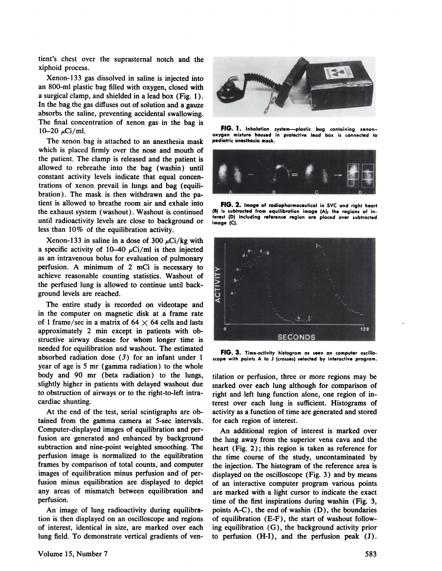tient's chest over the suprasternal notch and the xiphoid process.

Xenon-I 33 gas dissolved in saline is injected into an 800-mi plastic bag filled with oxygen, closed with a surgical clamp, and shielded in a lead box (Fig. 1). In the bag the gas diffuses out of solution and a gauze absorbs the saline, preventing accidental swallowing. The final concentration of xenon gas in the bag is<br>10.20  $\cdot$ Ci/ml<br>**FIG. 1.** Inhelation 10–20  $\mu$ Ci/ml.

The xenon bag is attached to an anesthesia mask which is placed firmly over the nose and mouth of the patient. The clamp is released and the patient is allowed to rebreathe into the bag (washin) until constant activity levels indicate that equal concen trations of xenon prevail in lungs and bag (equili tient is allowed to breathe room air and exhale into the exhaust system (washout) . Washout is continued until radioactivity levels are close to background or less than 10% of the equilibration activity.

Xenon-133 in saline in a dose of 300  $\mu$ Ci/kg with a specific activity of 10–40  $\mu$ Ci/ml is then injected as an intravenous bolus for evaluation of pulmonary perfusion. A minimum of 2 mCi is necessary to achieve reasonable counting statistics. Washout of the perfused lung is allowed to continue until back ground levels are reached.

The entire study is recorded on videotape and of 1 frame/sec in a matrix of  $64 \times 64$  cells and lasts approximately 2 min except in patients with obstructive airway disease for whom longer time is needed for equilibration and washout. The estimated absorbed radiation dose  $(3)$  for an infant under 1 year of age is 5 mr (gamma radiation) to the whole body and 90 mr (beta radiation) to the lungs, slightly higher in patients with delayed washout due to obstruction of airways or to the right-to-left intra cardiac shunting.

At the end of the test, serial scintigraphs are ob tamed from the gamma camera at 5-sec intervals. Computer-displayed images of equilibration and per fusion are generated and enhanced by background subtraction and nine-point weighted smoothing. The perfusion image is normalized to the equilibration frames by comparison of total counts, and computer images of equilibration minus perfusion and of per fusion minus equilibration are displayed to depict any areas of mismatch between equilibration and perfusion.

An image of lung radioactivity during equilibration is then displayed on an oscilloscope and regions of interest, identical in size, are marked over each lung field. To demonstrate vertical gradients of yen



system-plastic bag containing xenon**oxygen mixture housed in protective lead box is connected to pediatric anesthesia mask.**



FIG. 2. Image of radiopharmaceutical in SVC and right heart **(B) is subtracted from equilibration image (A); the regions of in terest (D) including reference region are placed over subtracted image (C).**



**FIG. 3. Time.activityhistogramas seenon computeroscillo scope with points A to J (crosses)selected by interactive program.**

tilation or perfusion, three or more regions may be marked over each lung although for comparison of right and left lung function alone, one region of in terest over each lung is sufficient. Histograms of activity as a function of time are generated and stored for each region of interest.

An additional region of interest is marked over the lung away from the superior vena cava and the heart (Fig. 2) ; this region is taken as reference for the time course of the study, uncontaminated by the injection. The histogram of the reference area is displayed on the oscilloscope (Fig. 3) and by means of an interactive computer program various points are marked with a light cursor to indicate the exact time of the first inspirations during washin (Fig. 3, points  $A-C$ ), the end of washin  $(D)$ , the boundaries of equilibration  $(E-F)$ , the start of washout following equilibration (G), the background activity prior to perfusion (H-I), and the perfusion peak (J).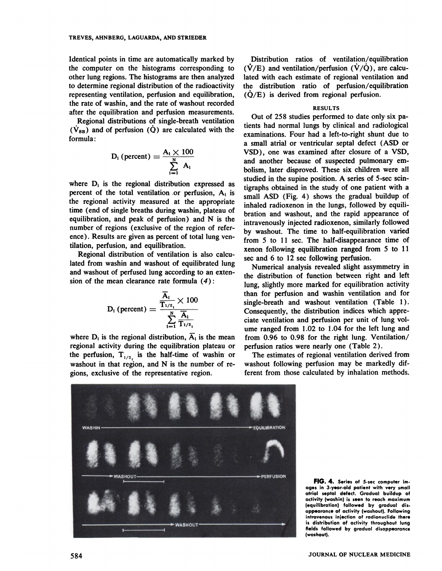Identical points in time are automatically marked by the computer on the histograms corresponding to other lung regions. The histograms are then analyzed to determine regional distribution of the radioactivity representing ventilation, perfusion and equilibration, the rate of washin, and the rate of washout recorded after the equilibration and perfusion measurements.

Regional distributions of single-breath ventilation  $(\dot{V}_{SB})$  and of perfusion  $(\dot{Q})$  are calculated with the formula:

$$
D_i (percent) = \frac{A_i \times 100}{\sum_{i=1}^{N} A_i}
$$

where  $D_i$  is the regional distribution expressed as percent of the total ventilation or perfusion,  $A_i$  is the regional activity measured at the appropriate time (end of single breaths during washin, plateau of equilibration, and peak of perfusion) and N is the number of regions (exclusive of the region of refer ence). Results are given as percent of total lung ventilation, perfusion, and equilibration.

Regional distribution of ventilation is also calcu lated from washin and washout of equilibrated lung and washout of perfused lung according to an exten sion of the mean clearance rate formula (4):

$$
\mathrm{D_{i}\left( percent\right)} = \frac{\frac{\overline{\mathrm{A_{i}}}}{\mathrm{T_{1/2_{i}}}} \times 100}{\sum\limits_{i=1}^{\mathrm{N}}\frac{\overline{\mathrm{A_{i}}}}{\mathrm{T_{1/2_{i}}}}}
$$

where  $D_i$  is the regional distribution,  $\overline{A}_i$  is the mean regional activity during the equilibration plateau or the perfusion,  $T_{1/2}$  is the half-time of washin or washout in that region, and N is the number of re gions, exclusive of the representative region.

Distribution ratios of ventilation/equilibration  $(\dot{V}/E)$  and ventilation/perfusion  $(\dot{V}/\dot{Q})$ , are calculated with each estimate of regional ventilation and the distribution ratio of perfusion/equilibration  $(\dot{Q}/E)$  is derived from regional perfusion.

## RESULTS

Out of 258 studies performed to date only six pa tients had normal lungs by clinical and radiological examinations. Four had a left-to-right shunt due to a small atrial or ventricular septal defect (ASD or VSD), one was examined after closure of a VSD, and another because of suspected pulmonary em bolism, later disproved. These six children were all studied in the supine position. A series of 5-sec scm tigraphs obtained in the study of one patient with a small ASD (Fig. 4) shows the gradual buildup of inhaled radioxenon in the lungs, followed by equili bration and washout, and the rapid appearance of intravenously injected radioxenon, similarly followed by washout. The time to half-equilibration varied from 5 to 11 sec. The half-disappearance time of xenon following equilibration ranged from 5 to 11 sec and 6 to 12 sec following perfusion.

Numerical analysis revealed slight assymmetry in the distribution of function between right and left lung, slightly more marked for equilibration activity than for perfusion and washin ventilation and for single-breath and washout ventilation (Table I). Consequently, the distribution indices which appre ciate ventilation and perfusion per unit of lung vol ume ranged from 1.02 to 1.04 for the left lung and from  $0.96$  to  $0.98$  for the right lung. Ventilation/ perfusion ratios were nearly one (Table 2).

The estimates of regional ventilation derived from washout following perfusion may be markedly dif ferent from those calculated by inhalation methods.



**FIG. 4. Seriesof 5-seccomputerim. ages in 3-year-old patient with very small atrial septal defect. Gradual buildup of** activity (washin) is seen to reach maximum **(equilibration) followed by gradual dis. appearance of activity (washout).Following intravenous injection of radionuclide there is distribution of activity throughout lung fields followed by gradual disappearance (washout).**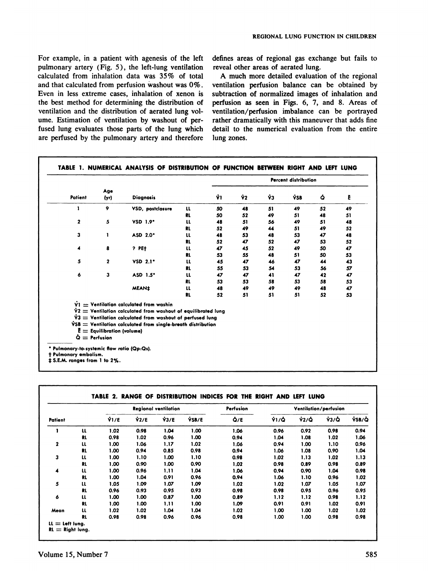For example, in a patient with agenesis of the left pulmonary artery (Fig. 5), the left-lung ventilation calculated from inhalation data was 35% of total and that calculated from perfusion washout was 0%. Even in less extreme cases, inhalation of xenon is the best method for determining the distribution of ventilation and the distribution of aerated lung volume. Estimation of ventilation by washout of perfused lung evaluates those parts of the lung which are perfused by the pulmonary artery and therefore defines areas of regional gas exchange but fails to reveal other areas of aerated lung.

A much more detailed evaluation of the regional ventilation perfusion balance can be obtained by subtraction of normalized images of inhalation and perfusion as seen in Figs. 6, 7, and 8. Areas of ventilation/perfusion imbalance can be portrayed rather dramatically with this maneuver that adds fine detail to the numerical evaluation from the entire lung zones.

|              |                                                                |                                                                                                                                                                                                     |               |     | <b>Percent distribution</b> |    |            |    |    |  |
|--------------|----------------------------------------------------------------|-----------------------------------------------------------------------------------------------------------------------------------------------------------------------------------------------------|---------------|-----|-----------------------------|----|------------|----|----|--|
| Patient      | Age<br>(yr)                                                    | <b>Diagnosis</b>                                                                                                                                                                                    |               | Ϋ́Ι | Ŷ2                          | ŸЗ | <b>νδΒ</b> | Ó  | Ē  |  |
| 1            | 9                                                              | VSD, postclosure                                                                                                                                                                                    | $\mathbf{u}$  | 50  | 48                          | 51 | 49         | 52 | 49 |  |
|              |                                                                |                                                                                                                                                                                                     | RL            | 50  | 52                          | 49 | 51         | 48 | 51 |  |
| $\mathbf{2}$ | 5                                                              | VSD 1.9*                                                                                                                                                                                            | $\mathbf{u}$  | 48  | 51                          | 56 | 49         | 51 | 48 |  |
|              |                                                                |                                                                                                                                                                                                     | <b>RL</b>     | 52  | 49                          | 44 | 51         | 49 | 52 |  |
| 3            | 1                                                              | ASD 2.0*                                                                                                                                                                                            | $\mathfrak u$ | 48  | 53                          | 48 | 53         | 47 | 48 |  |
|              |                                                                |                                                                                                                                                                                                     | RL            | 52  | 47                          | 52 | 47         | 53 | 52 |  |
| 4            | 8                                                              | $?$ PE $\dagger$                                                                                                                                                                                    | u             | 47  | 45                          | 52 | 49         | 50 | 47 |  |
|              |                                                                |                                                                                                                                                                                                     | RL            | 53  | 55                          | 48 | 51         | 50 | 53 |  |
| 5            | 2                                                              | $VSD$ 2.1*                                                                                                                                                                                          | แ             | 45  | 47                          | 46 | 47         | 44 | 43 |  |
|              |                                                                |                                                                                                                                                                                                     | RL            | 55  | 53                          | 54 | 53         | 56 | 57 |  |
| 6            | 3                                                              | ASD 1.5*                                                                                                                                                                                            | π             | 47  | 47                          | 41 | 47         | 42 | 47 |  |
|              |                                                                |                                                                                                                                                                                                     | RL.           | 53  | 53                          | 58 | 53         | 58 | 53 |  |
|              |                                                                | <b>MEAN‡</b>                                                                                                                                                                                        | $\mathbf{u}$  | 48  | 49                          | 49 | 49         | 48 | 47 |  |
|              |                                                                |                                                                                                                                                                                                     | <b>RL</b>     | 52  | 51                          | 51 | 51         | 52 | 53 |  |
|              |                                                                | $\dot{V}$ 1 $=$ Ventilation calculated from washin<br>$\dot{v}$ 2 $=$ Ventilation calculated from washout of equilibrated lung<br>$\dot{V}3 =$ Ventilation calculated from washout of perfused lung |               |     |                             |    |            |    |    |  |
|              | $\mathbf{E} =$ Equilibration (volume)<br>$\dot{Q}$ = Perfusion | $\dot{V}SB =$ Ventilation calculated from single-breath distribution                                                                                                                                |               |     |                             |    |            |    |    |  |

| Patient      |               | <b>Regional ventilation</b> |               |              |       | Perfusion | Ventilation/perfusion |                    |      |       |  |
|--------------|---------------|-----------------------------|---------------|--------------|-------|-----------|-----------------------|--------------------|------|-------|--|
|              |               | $\hat{V}1/E$                | $\hat{v}$ 2/E | $\hat{V}3/E$ | VSB/E | Q/E       | Ϋ1/Q                  | $\dot{V}2/\dot{Q}$ | V3/Q | VSB/Q |  |
|              | u             | 1.02                        | 0.98          | 1.04         | 1.00  | 1.06      | 0.96                  | 0.92               | 0.98 | 0.94  |  |
|              | RL            | 0.98                        | 1.02          | 0.96         | 1.00  | 0.94      | 1.04                  | 1.08               | 1.02 | 1.06  |  |
| $\mathbf{2}$ | u             | 1.00                        | 1.06          | 1.17         | 1.02  | 1.06      | 0.94                  | 1.00               | 1.10 | 0.96  |  |
|              | RL            | 1.00                        | 0.94          | 0.85         | 0.98  | 0.94      | 1.06                  | 1.08               | 0.90 | 1.04  |  |
| 3            | $\mathfrak u$ | 1.00                        | 1.10          | 1.00         | 1.10  | 0.98      | 1.02                  | 1.13               | 1.02 | 1.13  |  |
|              | <b>RL</b>     | 1.00                        | 0.90          | 1.00         | 0.90  | 1.02      | 0.98                  | 0.89               | 0.98 | 0.89  |  |
| 4            | $\mathbf{u}$  | 1.00                        | 0.96          | 1.11         | 1.04  | 1.06      | 0.94                  | 0.90               | 1.04 | 0.98  |  |
|              | <b>RL</b>     | 1.00                        | 1.04          | 0.91         | 0.96  | 0.94      | 1.06                  | 1.10               | 0.96 | 1.02  |  |
| 5            | $\mathfrak u$ | 1.05                        | 1.09          | 1.07         | 1.09  | 1.02      | 1.02                  | 1.07               | 1.05 | 1.07  |  |
|              | <b>RL</b>     | 0.96                        | 0.93          | 0.95         | 0.93  | 0.98      | 0.98                  | 0.95               | 0.96 | 0.95  |  |
| 6            | u             | 1.00                        | 1.00          | 0.87         | 1.00  | 0.89      | 1.12                  | 1.12               | 0.98 | 1.12  |  |
|              | <b>RL</b>     | 1.00                        | 1.00          | 1.11         | 1.00  | 1.09      | 0.91                  | 0.91               | 1.02 | 0.91  |  |
| Mean         | u             | 1.02                        | 1.02          | 1.04         | 1.04  | 1.02      | 1.00                  | 1.00               | 1.02 | 1.02  |  |
|              | <b>RL</b>     | 0.98                        | 0.98          | 0.96         | 0.96  | 0.98      | 1.00                  | 1.00               | 0.98 | 0.98  |  |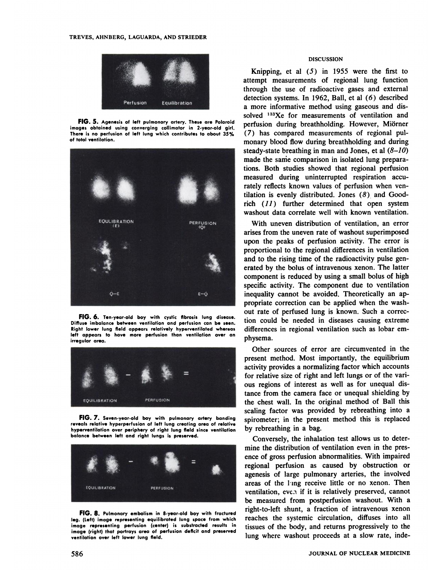

**FIG. 5. Agenesisof left pulmonaryartery.Theseare Polaroid images obtained using converging collimator in 2-year-old girl. There is no perfusion of left lung which contributes to about 35% of total ventilation.**



**FIG. 6. Ten-year-oldboy with cysticfibrosislung disease. Diffuse imbalance between ventilation and perfusion can be seen. Right lower lung field appears relatively hyperventilated whereas left appears to have more perfusion than ventilation over an irregular area.**



**FIG. 7. Seven-year-oldboy with pulmonaryartery banding reveals relative hyperperfusionof left lung creating area of relative hyperventilation over periphery of right lung field since ventilation balance between left and right lungs is preserved.**



**FIG. 8. Pulmonaryembolismin 8.year-oldboy with fractured leg. (Left) image representing equilibrated lung space from which image representing perfusion (center) is substracted results in image (right) that portrays area of perfusion deficit and preserved ventilation over left lower lung field.**

### DISCUSSION

**2@.!' .J.@.rfus@o@EquiMbratlon** Knipping, et al  $(5)$  in 1955 were the first to attempt measurements of regional lung function through the use of radioactive gases and external detection systems. In 1962, Ball, et al (6) described a more informative method using gaseous and dis solved <sup>133</sup>Xe for measurements of ventilation and perfusion during breathholding. However, Miörner (7) has compared measurements of regional pulmonary blood flow during breathholding and during steady-state breathing in man and Jones, et al  $(8-10)$ made the same comparison in isolated lung preparations. Both studies showed that regional perfusion measured during uninterrupted respiration accu rately reflects known values of perfusion when yen tilation is evenly distributed. Jones  $(8)$  and Goodrich  $(11)$  further determined that open system washout data correlate well with known ventilation.

> With uneven distribution of ventilation, an error arises from the uneven rate of washout superimposed upon the peaks of perfusion activity. The error is proportional to the regional differences in ventilation and to the rising time of the radioactivity pulse gen crated by the bolus of intravenous xenon. The latter component is reduced by using a small bolus of high specific activity. The component due to ventilation inequality cannot be avoided. Theoretically an ap propriate correction can be applied when the wash out rate of perfused lung is known. Such a correc tion could be needed in diseases causing extreme differences in regional ventilation such as lobar em physema.

> Other sources of error are circumvented in the present method. Most importantly, the equilibrium activity provides a normalizing factor which accounts for relative size of right and left lungs or of the van ous regions of interest as well as for unequal dis tance from the camera face or unequal shielding by the chest wall. In the original method of Ball this scaling factor was provided by rebreathing into a spirometer; in the present method this is replaced by rebreathing in a bag.

Conversely, the inhalation test allows us to deter mine the distribution of ventilation even in the pres ence of gross perfusion abnormalities. With impaired regional perfusion as caused by obstruction or agenesis of large pulmonary arteries, the involved areas of the ling receive little or no xenon. Then ventilation, even if it is relatively preserved, cannot be measured from postperfusion washout. With a right-to-left shunt, a fraction of intravenous xenon reaches the systemic circulation, diffuses into all tissues of the body, and returns progressively to the lung where washout proceeds at a slow rate, inde